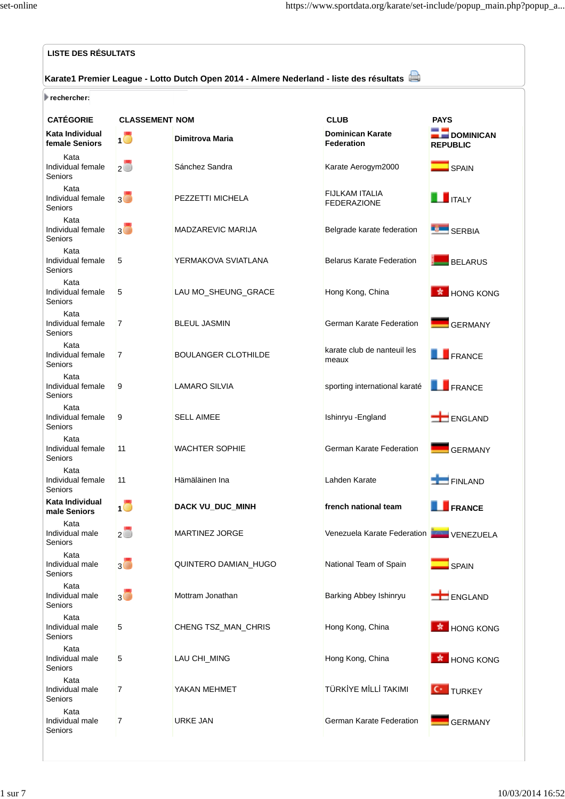| <b>LISTE DES RÉSULTATS</b>                                                              |                          |                            |                                              |                                     |  |  |
|-----------------------------------------------------------------------------------------|--------------------------|----------------------------|----------------------------------------------|-------------------------------------|--|--|
| Karate1 Premier League - Lotto Dutch Open 2014 - Almere Nederland - liste des résultats |                          |                            |                                              |                                     |  |  |
| rechercher:                                                                             |                          |                            |                                              |                                     |  |  |
| <b>CATÉGORIE</b>                                                                        | <b>CLASSEMENT NOM</b>    |                            | <b>CLUB</b>                                  | <b>PAYS</b>                         |  |  |
| Kata Individual<br>female Seniors                                                       | 10                       | <b>Dimitrova Maria</b>     | <b>Dominican Karate</b><br><b>Federation</b> | <b>DOMINICAN</b><br><b>REPUBLIC</b> |  |  |
| Kata<br>Individual female<br>Seniors                                                    | $2\Box$                  | Sánchez Sandra             | Karate Aerogym2000                           | $\Box$ SPAIN                        |  |  |
| Kata<br>Individual female<br>Seniors                                                    | $3\Box$                  | PEZZETTI MICHELA           | FIJLKAM ITALIA<br>FEDERAZIONE                | <b>TE ITALY</b>                     |  |  |
| Kata<br>Individual female<br>Seniors                                                    | $3\overline{\mathbb{C}}$ | MADZAREVIC MARIJA          | Belgrade karate federation                   | <b>SERBIA</b>                       |  |  |
| Kata<br>Individual female<br>Seniors                                                    | 5                        | YERMAKOVA SVIATLANA        | <b>Belarus Karate Federation</b>             | <b>BELARUS</b>                      |  |  |
| Kata<br>Individual female<br>Seniors                                                    | 5                        | LAU MO SHEUNG GRACE        | Hong Kong, China                             | <b>K</b> HONG KONG                  |  |  |
| Kata<br>Individual female<br>Seniors                                                    | 7                        | <b>BLEUL JASMIN</b>        | German Karate Federation                     | <b>GERMANY</b>                      |  |  |
| Kata<br>Individual female<br>Seniors                                                    | 7                        | <b>BOULANGER CLOTHILDE</b> | karate club de nanteuil les<br>meaux         | FRANCE                              |  |  |
| Kata<br>Individual female<br>Seniors                                                    | 9                        | LAMARO SILVIA              | sporting international karaté                | <b>FRANCE</b>                       |  |  |
| Kata<br>Individual female<br>Seniors                                                    | 9                        | <b>SELL AIMEE</b>          | Ishinryu - England                           | ENGLAND                             |  |  |
| Kata<br>Individual female<br>Seniors                                                    | 11                       | <b>WACHTER SOPHIE</b>      | German Karate Federation                     | <b>GERMANY</b>                      |  |  |
| Kata<br>Individual female<br>Seniors                                                    | 11                       | Hämäläinen Ina             | Lahden Karate                                | FINLAND                             |  |  |
| Kata Individual<br>male Seniors                                                         | <u>, 0</u>               | DACK VU_DUC_MINH           | french national team                         | <b>FRANCE</b>                       |  |  |
| Kata<br>Individual male<br>Seniors                                                      | $2\overline{\circ}$      | MARTINEZ JORGE             | Venezuela Karate Federation                  | VENEZUELA                           |  |  |
| Kata<br>Individual male<br>Seniors                                                      | $3\overline{\bullet}$    | QUINTERO DAMIAN_HUGO       | National Team of Spain                       | $\Box$ SPAIN                        |  |  |
| Kata<br>Individual male<br>Seniors                                                      | $3\overline{\mathbb{O}}$ | Mottram Jonathan           | Barking Abbey Ishinryu                       | ENGLAND                             |  |  |
| Kata<br>Individual male<br>Seniors                                                      | 5                        | CHENG TSZ_MAN_CHRIS        | Hong Kong, China                             | <b>*</b> HONG KONG                  |  |  |
| Kata<br>Individual male<br>Seniors                                                      | 5                        | LAU CHI_MING               | Hong Kong, China                             | <b>*</b> HONG KONG                  |  |  |
| Kata<br>Individual male<br>Seniors                                                      | 7                        | YAKAN MEHMET               | TÜRKİYE MİLLİ TAKIMI                         | <b>C</b> · TURKEY                   |  |  |
| Kata<br>Individual male<br>Seniors                                                      | 7                        | URKE JAN                   | German Karate Federation                     | <b>GERMANY</b>                      |  |  |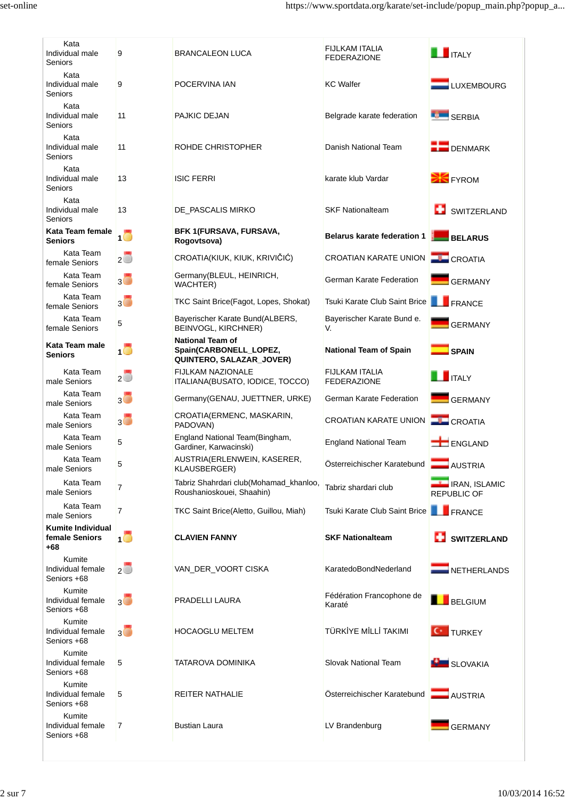| Kata<br>Individual male<br>Seniors                  | 9                                        | <b>BRANCALEON LUCA</b>                                                        | FIJLKAM ITALIA<br><b>FEDERAZIONE</b>            | $\blacksquare$ ITAI Y                      |
|-----------------------------------------------------|------------------------------------------|-------------------------------------------------------------------------------|-------------------------------------------------|--------------------------------------------|
| Kata<br>Individual male<br>Seniors                  | 9                                        | POCERVINA IAN                                                                 | <b>KC</b> Walfer                                | LUXEMBOURG                                 |
| Kata<br>Individual male<br>Seniors                  | 11                                       | PAJKIC DEJAN                                                                  | Belgrade karate federation                      | <b>SERBIA</b>                              |
| Kata<br>Individual male<br>Seniors                  | 11                                       | ROHDE CHRISTOPHER                                                             | Danish National Team                            | <b>DENMARK</b>                             |
| Kata<br>Individual male<br>Seniors                  | 13                                       | <b>ISIC FERRI</b>                                                             | karate klub Vardar                              | <b>EX</b> FYROM                            |
| Kata<br>Individual male<br>Seniors                  | 13                                       | DE_PASCALIS MIRKO                                                             | <b>SKF Nationalteam</b>                         | SWITZERLAND                                |
| Kata Team female<br><b>Seniors</b>                  | - 0                                      | BFK 1(FURSAVA, FURSAVA,<br>Rogovtsova)                                        | <b>Belarus karate federation 1</b>              | BELARUS                                    |
| Kata Team<br>female Seniors                         | $2\overline{\Box}$                       | CROATIA(KIUK, KIUK, KRIVIČIĆ)                                                 | <b>CROATIAN KARATE UNION</b>                    | <b>CROATIA</b>                             |
| Kata Team<br>female Seniors                         | $3\overline{\bullet}$                    | Germany(BLEUL, HEINRICH,<br><b>WACHTER</b> )                                  | German Karate Federation                        | GERMANY                                    |
| Kata Team<br>female Seniors                         | $3\overline{\circ}$                      | TKC Saint Brice(Fagot, Lopes, Shokat)                                         | Tsuki Karate Club Saint Brice <b>The FRANCE</b> |                                            |
| Kata Team<br>female Seniors                         | 5                                        | Bayerischer Karate Bund(ALBERS,<br>BEINVOGL, KIRCHNER)                        | Bayerischer Karate Bund e.<br>V.                | <b>GERMANY</b>                             |
| Kata Team male<br>Seniors                           | 10                                       | <b>National Team of</b><br>Spain(CARBONELL_LOPEZ,<br>QUINTERO, SALAZAR_JOVER) | <b>National Team of Spain</b>                   | $\Box$ SPAIN                               |
| Kata Team<br>male Seniors                           | $\overline{2}$                           | <b>FIJLKAM NAZIONALE</b><br>ITALIANA(BUSATO, IODICE, TOCCO)                   | <b>FIJLKAM ITALIA</b><br><b>FEDERAZIONE</b>     | $\blacksquare$ ITALY                       |
| Kata Team<br>male Seniors                           | $\overline{3}$ $\overline{\overline{6}}$ | Germany (GENAU, JUETTNER, URKE)                                               | German Karate Federation                        | <b>GERMANY</b>                             |
| Kata Team<br>male Seniors                           | $3\Box$                                  | CROATIA(ERMENC, MASKARIN,<br>PADOVAN)                                         | CROATIAN KARATE UNION                           | <b>CROATIA</b>                             |
| Kata Team<br>male Seniors                           | 5                                        | England National Team(Bingham,<br>Gardiner, Karwacinski)                      | <b>England National Team</b>                    | ENGLAND                                    |
| Kata Team<br>male Seniors                           | 5                                        | AUSTRIA(ERLENWEIN, KASERER,<br>KLAUSBERGER)                                   | Österreichischer Karatebund                     | $\blacksquare$ AUSTRIA                     |
| Kata Team<br>male Seniors                           | 7                                        | Tabriz Shahrdari club(Mohamad_khanloo,<br>Roushanioskouei, Shaahin)           | Tabriz shardari club                            | <b>IRAN, ISLAMIC</b><br><b>REPUBLIC OF</b> |
| Kata Team<br>male Seniors                           | 7                                        | TKC Saint Brice(Aletto, Guillou, Miah)                                        | Tsuki Karate Club Saint Brice                   | <b>FRANCE</b>                              |
| <b>Kumite Individual</b><br>female Seniors<br>$+68$ | 10                                       | <b>CLAVIEN FANNY</b>                                                          | <b>SKF Nationalteam</b>                         | SWITZERLAND                                |
| Kumite<br>Individual female<br>Seniors +68          | $2\Box$                                  | VAN_DER_VOORT CISKA                                                           | KaratedoBondNederland                           | <b>NETHERLANDS</b>                         |
| Kumite<br>Individual female<br>Seniors +68          | $3\Box$                                  | PRADELLI LAURA                                                                | Fédération Francophone de<br>Karaté             | BELGIUM                                    |
| Kumite<br>Individual female<br>Seniors +68          | $3\Box$                                  | <b>HOCAOGLU MELTEM</b>                                                        | TÜRKİYE MİLLİ TAKIMI                            | <b>C</b> TURKEY                            |
| Kumite<br>Individual female<br>Seniors +68          | 5                                        | TATAROVA DOMINIKA                                                             | Slovak National Team                            | <b>KE SLOVAKIA</b>                         |
| Kumite<br>Individual female<br>Seniors +68          | 5                                        | REITER NATHALIE                                                               | Österreichischer Karatebund                     | $\Box$ AUSTRIA                             |
| Kumite<br>Individual female<br>Seniors +68          | 7                                        | <b>Bustian Laura</b>                                                          | LV Brandenburg                                  | GERMANY                                    |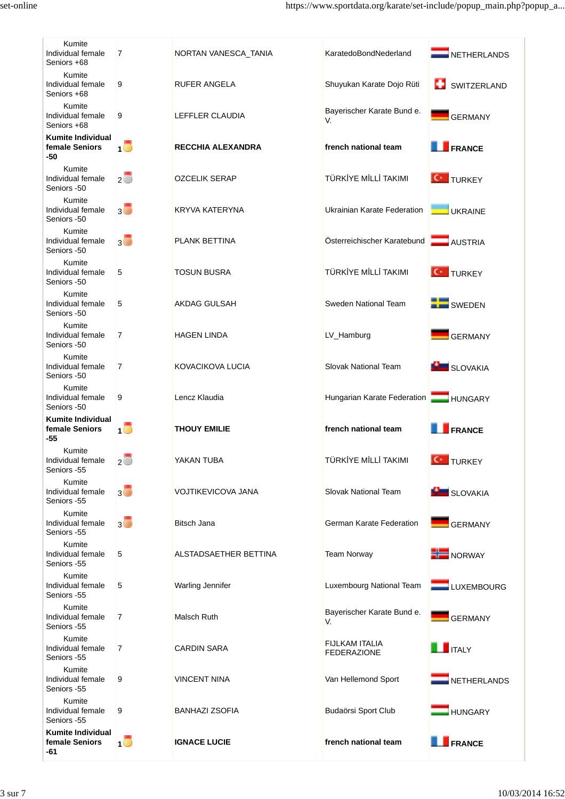| Kumite<br>Individual female<br>Seniors +68        | $\overline{7}$      | NORTAN VANESCA_TANIA      | KaratedoBondNederland                       | NETHERLANDS        |
|---------------------------------------------------|---------------------|---------------------------|---------------------------------------------|--------------------|
| Kumite<br>Individual female<br>Seniors +68        | 9                   | <b>RUFER ANGELA</b>       | Shuyukan Karate Dojo Rüti                   | SWITZERLAND        |
| Kumite<br>Individual female<br>Seniors +68        | 9                   | LEFFLER CLAUDIA           | Bayerischer Karate Bund e.<br>V.            | <b>GERMANY</b>     |
| Kumite Individual<br>female Seniors<br>-50        | $\mathbf{1}$ $\Box$ | <b>RECCHIA ALEXANDRA</b>  | french national team                        | FRANCE             |
| Kumite<br>Individual female<br>Seniors -50        | $2\overline{O}$     | <b>OZCELIK SERAP</b>      | TÜRKİYE MİLLİ TAKIMI                        | <b>C</b> TURKEY    |
| Kumite<br>Individual female<br>Seniors -50        | $3\Box$             | KRYVA KATERYNA            | Ukrainian Karate Federation                 | <b>UKRAINE</b>     |
| Kumite<br>Individual female<br>Seniors -50        | $3\Box$             | <b>PLANK BETTINA</b>      | Österreichischer Karatebund                 | <b>AUSTRIA</b>     |
| Kumite<br>Individual female<br>Seniors -50        | 5                   | <b>TOSUN BUSRA</b>        | TÜRKİYE MİLLİ TAKIMI                        | <b>C</b> TURKEY    |
| Kumite<br>Individual female<br>Seniors -50        | 5                   | AKDAG GULSAH              | Sweden National Team                        | SWEDEN             |
| Kumite<br>Individual female<br>Seniors -50        | $\overline{7}$      | <b>HAGEN LINDA</b>        | LV_Hamburg                                  | <b>GERMANY</b>     |
| Kumite<br>Individual female<br>Seniors -50        | $\overline{7}$      | KOVACIKOVA LUCIA          | Slovak National Team                        | <b>BL</b> SLOVAKIA |
| Kumite<br>Individual female<br>Seniors -50        | 9                   | Lencz Klaudia             | Hungarian Karate Federation HUNGARY         |                    |
| Kumite Individual<br>female Seniors<br>-55        | 1 O                 | <b>THOUY EMILIE</b>       | french national team                        | FRANCE             |
| Kumite<br>Individual female<br>Seniors -55        | 2 $\cup$            | YAKAN TUBA                | TÜRKİYE MİLLİ TAKIMI                        | <b>C</b> TURKEY    |
| Kumite<br>Individual female<br>Seniors -55        | $_3$ 0              | <b>VOJTIKEVICOVA JANA</b> | Slovak National Team                        | <b>BU</b> SLOVAKIA |
| Kumite<br>Individual female<br>Seniors -55        | $3\Box$             | <b>Bitsch Jana</b>        | German Karate Federation                    | GERMANY            |
| Kumite<br>Individual female<br>Seniors -55        | 5                   | ALSTADSAETHER BETTINA     | <b>Team Norway</b>                          | <b>HE</b> NORWAY   |
| Kumite<br>Individual female<br>Seniors -55        | 5                   | Warling Jennifer          | Luxembourg National Team                    | LUXEMBOURG         |
| Kumite<br>Individual female<br>Seniors -55        | $\overline{7}$      | Malsch Ruth               | Bayerischer Karate Bund e.<br>V.            | GERMANY            |
| Kumite<br>Individual female<br>Seniors -55        | $\overline{7}$      | <b>CARDIN SARA</b>        | <b>FIJLKAM ITALIA</b><br><b>FEDERAZIONE</b> | <b>THE ITALY</b>   |
| Kumite<br>Individual female<br>Seniors -55        | 9                   | <b>VINCENT NINA</b>       | Van Hellemond Sport                         | NETHERLANDS        |
| Kumite<br>Individual female<br>Seniors -55        | 9                   | <b>BANHAZI ZSOFIA</b>     | Budaörsi Sport Club                         | <b>HUNGARY</b>     |
| <b>Kumite Individual</b><br>female Seniors<br>-61 | 10                  | <b>IGNACE LUCIE</b>       | french national team                        | FRANCE             |
|                                                   |                     |                           |                                             |                    |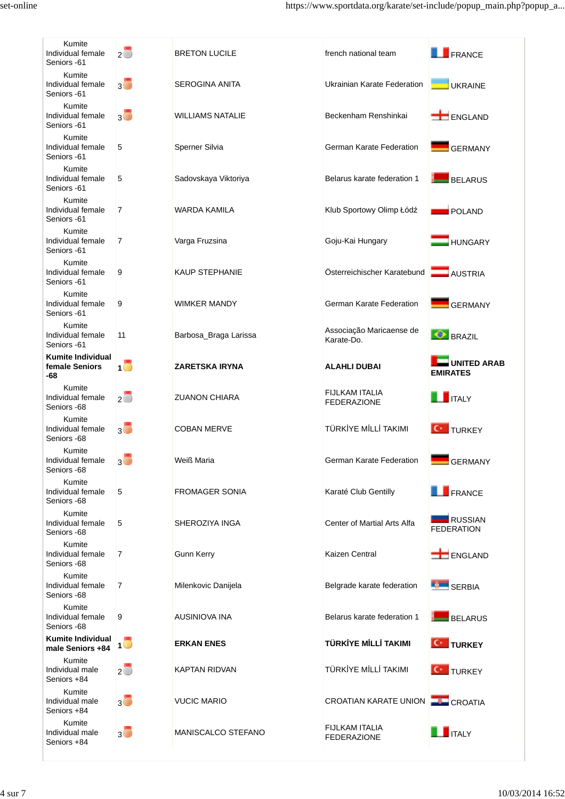| Kumite<br>Individual female<br>Seniors -61        | $2^{\circ}$              | <b>BRETON LUCILE</b>    | french national team                     | FRANCE                                |
|---------------------------------------------------|--------------------------|-------------------------|------------------------------------------|---------------------------------------|
| Kumite<br>Individual female<br>Seniors -61        | $3\Box$                  | <b>SEROGINA ANITA</b>   | Ukrainian Karate Federation              | <b>UKRAINE</b>                        |
| Kumite<br>Individual female<br>Seniors -61        | 3 <sup>o</sup>           | <b>WILLIAMS NATALIE</b> | Beckenham Renshinkai                     | ENGLAND                               |
| Kumite<br>Individual female<br>Seniors -61        | 5                        | Sperner Silvia          | German Karate Federation                 | <b>GERMANY</b>                        |
| Kumite<br>Individual female<br>Seniors -61        | 5                        | Sadovskaya Viktoriya    | Belarus karate federation 1              | BELARUS                               |
| Kumite<br>Individual female<br>Seniors -61        | $\overline{7}$           | WARDA KAMILA            | Klub Sportowy Olimp Łódź                 | POLAND                                |
| Kumite<br>Individual female<br>Seniors -61        | $\overline{7}$           | Varga Fruzsina          | Goju-Kai Hungary                         | <b>HUNGARY</b>                        |
| Kumite<br>Individual female<br>Seniors -61        | 9                        | <b>KAUP STEPHANIE</b>   | Österreichischer Karatebund              | <b>AUSTRIA</b>                        |
| Kumite<br>Individual female<br>Seniors -61        | 9                        | <b>WIMKER MANDY</b>     | German Karate Federation                 | GERMANY                               |
| Kumite<br>Individual female<br>Seniors -61        | 11                       | Barbosa_Braga Larissa   | Associação Maricaense de<br>Karate-Do.   | <b>O</b> BRAZIL                       |
| <b>Kumite Individual</b><br>female Seniors<br>-68 | 1 O                      | ZARETSKA IRYNA          | <b>ALAHLI DUBAI</b>                      | <b>UNITED ARAB</b><br><b>EMIRATES</b> |
| Kumite<br>Individual female<br>Seniors -68        | $2\overline{O}$          | <b>ZUANON CHIARA</b>    | FIJLKAM ITALIA<br><b>FEDERAZIONE</b>     | <b>THE ITALY</b>                      |
| Kumite<br>Individual female<br>Seniors -68        | 3 <sup>o</sup>           | <b>COBAN MERVE</b>      | TÜRKİYE MİLLİ TAKIMI                     | <b>C</b> TURKEY                       |
| Kumite<br>Individual female<br>Seniors -68        | 3 <sup>°</sup>           | Weiß Maria              | German Karate Federation                 | GERMANY                               |
|                                                   |                          |                         |                                          |                                       |
| Kumite<br>Individual female<br>Seniors -68        | 5                        | <b>FROMAGER SONIA</b>   | Karaté Club Gentilly                     | <b>EXPRESSION</b>                     |
| Kumite<br>Individual female<br>Seniors -68        | 5                        | SHEROZIYA INGA          | Center of Martial Arts Alfa              | RUSSIAN<br><b>FEDERATION</b>          |
| Kumite<br>Individual female<br>Seniors -68        | 7                        | <b>Gunn Kerry</b>       | Kaizen Central                           | ENGLAND                               |
| Kumite<br>Individual female<br>Seniors -68        | 7                        | Milenkovic Danijela     | Belgrade karate federation               | SERBIA                                |
| Kumite<br>Individual female<br>Seniors -68        | 9                        | AUSINIOVA INA           | Belarus karate federation 1              | <b>BELARUS</b>                        |
| <b>Kumite Individual</b><br>male Seniors +84      | 10                       | <b>ERKAN ENES</b>       | TÜRKİYE MİLLİ TAKIMI                     | <b>C</b> TURKEY                       |
| Kumite<br>Individual male<br>Seniors +84          | $2\overline{\mathbb{O}}$ | KAPTAN RIDVAN           | TÜRKİYE MİLLİ TAKIMI                     | <b>C</b> TURKEY                       |
| Kumite<br>Individual male<br>Seniors +84          | $3\Box$                  | <b>VUCIC MARIO</b>      | CROATIAN KARATE UNION <b>THE CROATIA</b> |                                       |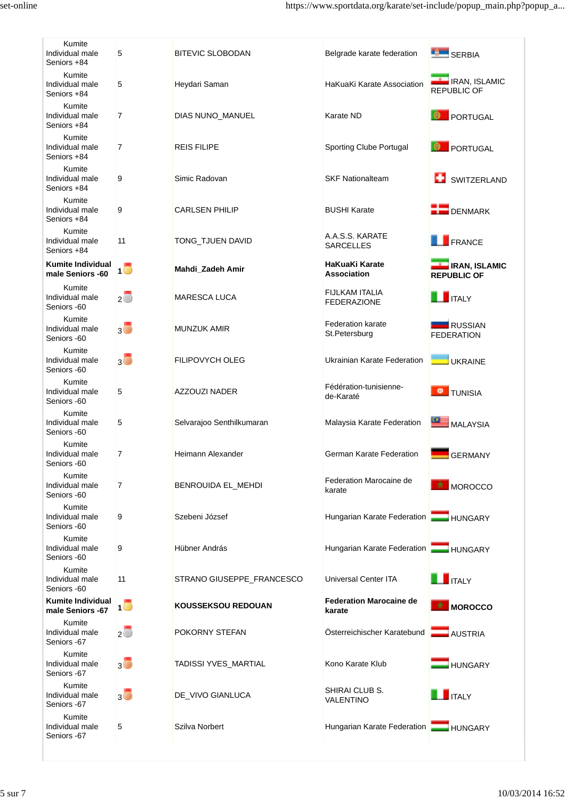| Kumite<br>Individual male<br>Seniors +84     | 5                   | <b>BITEVIC SLOBODAN</b>   | Belgrade karate federation                  | SERBIA                                             |
|----------------------------------------------|---------------------|---------------------------|---------------------------------------------|----------------------------------------------------|
| Kumite<br>Individual male<br>Seniors +84     | 5                   | Heydari Saman             | HaKuaKi Karate Association                  | <b>IRAN, ISLAMIC</b><br><b>REPUBLIC OF</b>         |
| Kumite<br>Individual male<br>Seniors +84     | $\overline{7}$      | DIAS NUNO_MANUEL          | Karate ND                                   | PORTUGAL                                           |
| Kumite<br>Individual male<br>Seniors +84     | 7                   | <b>REIS FILIPE</b>        | Sporting Clube Portugal                     | PORTUGAL                                           |
| Kumite<br>Individual male<br>Seniors +84     | 9                   | Simic Radovan             | <b>SKF Nationalteam</b>                     | SWITZERLAND                                        |
| Kumite<br>Individual male<br>Seniors +84     | 9                   | <b>CARLSEN PHILIP</b>     | <b>BUSHI Karate</b>                         | $\blacksquare$ DENMARK                             |
| Kumite<br>Individual male<br>Seniors +84     | 11                  | TONG_TJUEN DAVID          | A.A.S.S. KARATE<br><b>SARCELLES</b>         | <b>EXPRESSION</b>                                  |
| <b>Kumite Individual</b><br>male Seniors -60 | -0                  | Mahdi_Zadeh Amir          | HaKuaKi Karate<br><b>Association</b>        | <b>EXAMPLE IRAN, ISLAMIC</b><br><b>REPUBLIC OF</b> |
| Kumite<br>Individual male<br>Seniors -60     | $2\overline{\circ}$ | <b>MARESCA LUCA</b>       | <b>FIJLKAM ITALIA</b><br><b>FEDERAZIONE</b> | $\blacksquare$ ITALY                               |
| Kumite<br>Individual male<br>Seniors -60     | $3\Box$             | <b>MUNZUK AMIR</b>        | <b>Federation karate</b><br>St.Petersburg   | <b>RUSSIAN</b><br><b>FEDERATION</b>                |
| Kumite<br>Individual male<br>Seniors -60     | $_3$ 0              | FILIPOVYCH OLEG           | Ukrainian Karate Federation                 | <b>UKRAINE</b>                                     |
| Kumite<br>Individual male<br>Seniors -60     | 5                   | AZZOUZI NADER             | Fédération-tunisienne-<br>de-Karaté         | <b>O</b> TUNISIA                                   |
| Kumite<br>Individual male<br>Seniors -60     | 5                   | Selvarajoo Senthilkumaran | Malaysia Karate Federation                  | $\blacksquare$ MALAYSIA                            |
| Kumite<br>Individual male<br>Seniors -60     | 7                   | Heimann Alexander         | German Karate Federation                    | <b>GERMANY</b>                                     |
| Kumite<br>Individual male<br>Seniors -60     | 7                   | BENROUIDA EL_MEHDI        | Federation Marocaine de<br>karate           | MOROCCO                                            |
| Kumite<br>Individual male<br>Seniors -60     | 9                   | Szebeni József            | Hungarian Karate Federation                 | <b>HUNGARY</b>                                     |
| Kumite<br>Individual male<br>Seniors -60     | 9                   | Hübner András             | Hungarian Karate Federation   HUNGARY       |                                                    |
| Kumite<br>Individual male<br>Seniors -60     | 11                  | STRANO GIUSEPPE_FRANCESCO | <b>Universal Center ITA</b>                 | $\blacksquare$ ITALY                               |
| <b>Kumite Individual</b><br>male Seniors -67 | 1 C                 | <b>KOUSSEKSOU REDOUAN</b> | <b>Federation Marocaine de</b><br>karate    | MOROCCO                                            |
| Kumite<br>Individual male<br>Seniors -67     | $\overline{2}$      | POKORNY STEFAN            | Österreichischer Karatebund                 | <b>AUSTRIA</b>                                     |
| Kumite<br>Individual male<br>Seniors -67     | $3\Box$             | TADISSI YVES_MARTIAL      | Kono Karate Klub                            | <b>HUNGARY</b>                                     |
| Kumite<br>Individual male<br>Seniors -67     | $3\Box$             | DE_VIVO GIANLUCA          | SHIRAI CLUB S.<br>VALENTINO                 | $\blacksquare$ ITALY                               |
| Kumite<br>Individual male<br>Seniors -67     | 5                   | Szilva Norbert            | Hungarian Karate Federation                 | <b>HUNGARY</b>                                     |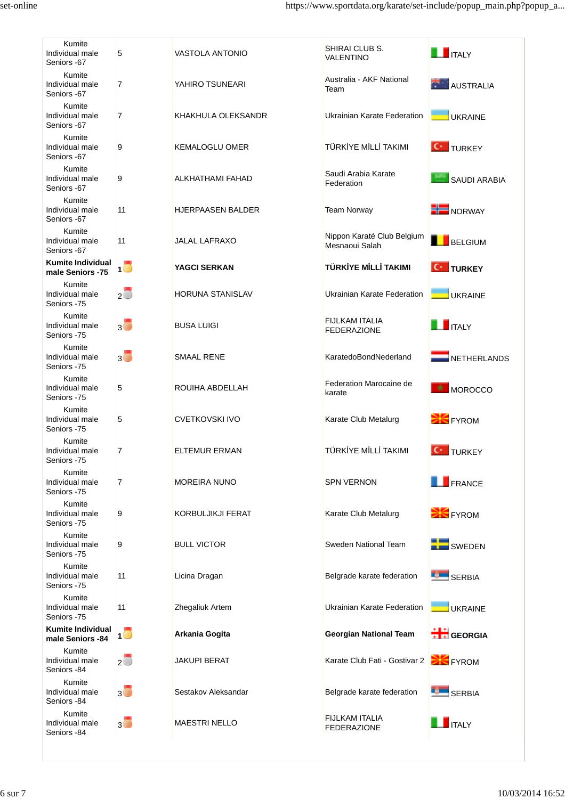| Kumite<br>Individual male<br>Seniors -67     | 5                        | <b>VASTOLA ANTONIO</b>   | SHIRAI CLUB S.<br>VALENTINO                  | $\blacksquare$ ITALY |  |
|----------------------------------------------|--------------------------|--------------------------|----------------------------------------------|----------------------|--|
| Kumite<br>Individual male<br>Seniors -67     | $\overline{7}$           | YAHIRO TSUNEARI          | Australia - AKF National<br>Team             | AUSTRALIA            |  |
| Kumite<br>Individual male<br>Seniors -67     | $\overline{7}$           | KHAKHULA OLEKSANDR       | Ukrainian Karate Federation                  | <b>UKRAINE</b>       |  |
| Kumite<br>Individual male<br>Seniors -67     | 9                        | <b>KEMALOGLU OMER</b>    | TÜRKİYE MİLLİ TAKIMI                         | <b>C</b> TURKEY      |  |
| Kumite<br>Individual male<br>Seniors -67     | 9                        | ALKHATHAMI FAHAD         | Saudi Arabia Karate<br>Federation            | SAUDI ARABIA         |  |
| Kumite<br>Individual male<br>Seniors -67     | 11                       | <b>HJERPAASEN BALDER</b> | <b>Team Norway</b>                           | NORWAY               |  |
| Kumite<br>Individual male<br>Seniors -67     | 11                       | <b>JALAL LAFRAXO</b>     | Nippon Karaté Club Belgium<br>Mesnaoui Salah | BELGIUM              |  |
| <b>Kumite Individual</b><br>male Seniors -75 | 10                       | <b>YAGCI SERKAN</b>      | TÜRKİYE MİLLİ TAKIMI                         | <b>C</b> TURKEY      |  |
| Kumite<br>Individual male<br>Seniors -75     | $2\overline{O}$          | <b>HORUNA STANISLAV</b>  | Ukrainian Karate Federation                  | <b>UKRAINE</b>       |  |
| Kumite<br>Individual male<br>Seniors -75     | $_3$ 0                   | <b>BUSA LUIGI</b>        | <b>FIJLKAM ITALIA</b><br><b>FEDERAZIONE</b>  | $\blacksquare$ ITALY |  |
| Kumite<br>Individual male<br>Seniors -75     | $3\overline{\mathbb{O}}$ | <b>SMAAL RENE</b>        | KaratedoBondNederland                        | NETHERLANDS          |  |
| Kumite<br>Individual male<br>Seniors -75     | 5                        | ROUIHA ABDELLAH          | Federation Marocaine de<br>karate            | MOROCCO              |  |
| Kumite<br>Individual male<br>Seniors -75     | 5                        | <b>CVETKOVSKI IVO</b>    | Karate Club Metalurg                         | <b>EX</b> FYROM      |  |
| Kumite<br>Individual male<br>Seniors -75     | $\overline{7}$           | <b>ELTEMUR ERMAN</b>     | TÜRKİYE MİLLİ TAKIMI                         | <b>C</b> TURKEY      |  |
| Kumite<br>Individual male<br>Seniors -75     | $\overline{7}$           | <b>MOREIRA NUNO</b>      | <b>SPN VERNON</b>                            | <b>FRANCE</b>        |  |
| Kumite<br>Individual male<br>Seniors -75     | 9                        | KORBULJIKJI FERAT        | Karate Club Metalurg                         | <b>EX</b> FYROM      |  |
| Kumite<br>Individual male<br>Seniors -75     | 9                        | <b>BULL VICTOR</b>       | Sweden National Team                         | SWEDEN               |  |
| Kumite<br>Individual male<br>Seniors -75     | 11                       | Licina Dragan            | Belgrade karate federation                   | <b>SERBIA</b>        |  |
| Kumite<br>Individual male<br>Seniors -75     | 11                       | Zhegaliuk Artem          | Ukrainian Karate Federation                  | UKRAINE              |  |
| <b>Kumite Individual</b><br>male Seniors -84 | 10                       | Arkania Gogita           | <b>Georgian National Team</b>                | GEORGIA              |  |
| Kumite<br>Individual male<br>Seniors -84     | $2\overline{\circ}$      | JAKUPI BERAT             | Karate Club Fati - Gostivar 2                | <b>EX</b> FYROM      |  |
| Kumite<br>Individual male<br>Seniors -84     | $3\Box$                  | Sestakov Aleksandar      | Belgrade karate federation                   | <b>SERBIA</b>        |  |
| Kumite<br>Individual male<br>Seniors -84     | $3\overline{\mathbb{O}}$ | <b>MAESTRI NELLO</b>     | <b>FIJLKAM ITALIA</b><br><b>FEDERAZIONE</b>  | $\blacksquare$ ITALY |  |